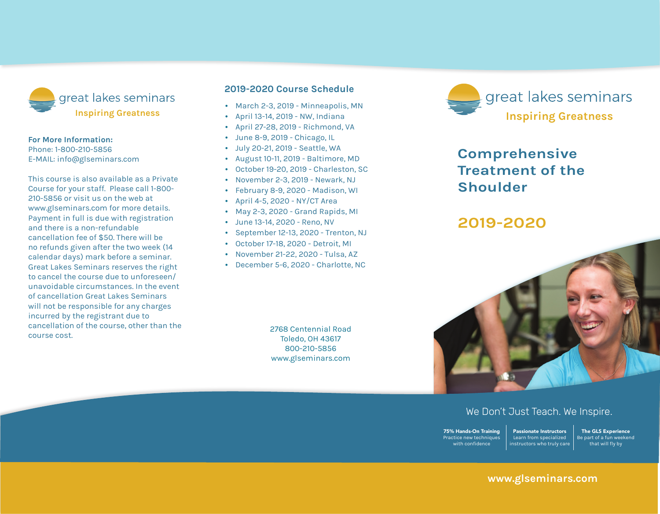

#### **For More Information:**

Phone: 1-800-210-5856 E-mail: info@glseminars.com

Payment in full is due with registration and there is a non-refundable cancellation fee of \$50. There will be no refunds given within two weeks (14 calendar days) of the seminar. Great Lakes Seminars reserves the right to cancel the course due to unforeseen/ unavoidable circumstances. In the event of a cancellation Great Lakes Seminars will not be responsible for any charges incurred by the registrant other than the course cost.

This course is also available as a private course for your staff. Please call 1-800-210-5856 or visit us on the web at www.glseminars.com for more details.

#### **2022 Course Schedule**

- January 15-16, 2022 Newark, NJ
- February 5-6, 2022 Frederick, MD
- February 26-27, 2022 Grand Rapids, MI
- April 30-May 1, 2022 Huntsville, AL
- September 17-18, 2022 Albuquerque, NM
- October 22-23. 2022 Online & Toledo, OH
- November 5-6, 2022 Minneapolis, MN

Please check our website for the most updated schedule: www.glseminars.com



# **Comprehensive Treatment of the Shoulder**

# **2022**



## We Don't Just Teach. We Inspire.

75% Hands-On Training Practice new techniques with confidence Passionate Instructors Learn from specialized instructors who truly care

The GLS Experience Be part of a fun weekend that will fly by

## **www.glseminars.com**